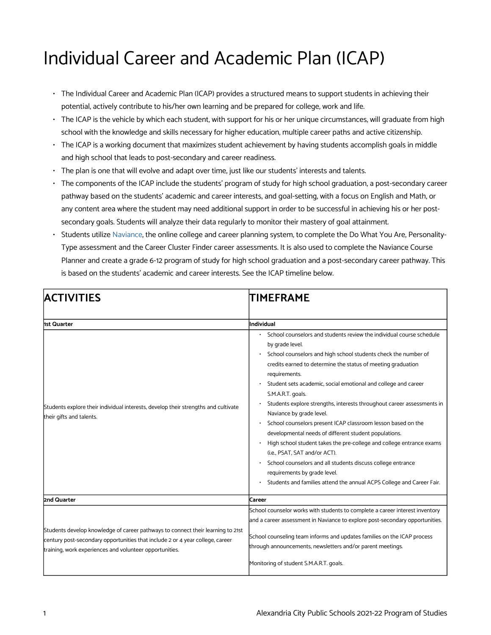## Individual Career and Academic Plan (ICAP)

- The Individual Career and Academic Plan (ICAP) provides a structured means to support students in achieving their potential, actively contribute to his/her own learning and be prepared for college, work and life.
- The ICAP is the vehicle by which each student, with support for his or her unique circumstances, will graduate from high school with the knowledge and skills necessary for higher education, multiple career paths and active citizenship.
- The ICAP is a working document that maximizes student achievement by having students accomplish goals in middle and high school that leads to post-secondary and career readiness.
- The plan is one that will evolve and adapt over time, just like our students' interests and talents.
- The components of the ICAP include the students' program of study for high school graduation, a post-secondary career pathway based on the students' academic and career interests, and goal-setting, with a focus on English and Math, or any content area where the student may need additional support in order to be successful in achieving his or her postsecondary goals. Students will analyze their data regularly to monitor their mastery of goal attainment.
- Students utilize [Naviance,](https://www.acps.k12.va.us/Page/1905) the online college and career planning system, to complete the Do What You Are, Personality-Type assessment and the Career Cluster Finder career assessments. It is also used to complete the Naviance Course Planner and create a grade 6-12 program of study for high school graduation and a post-secondary career pathway. This is based on the students' academic and career interests. See the ICAP timeline below.

| <b>ACTIVITIES</b>                                                                                                                                                                                                           | <b>TIMEFRAME</b>                                                                                                                                                                                                                                                                                                                                                                                                                                                                                                                                                                                                                                                                                                                                                                                                                                  |
|-----------------------------------------------------------------------------------------------------------------------------------------------------------------------------------------------------------------------------|---------------------------------------------------------------------------------------------------------------------------------------------------------------------------------------------------------------------------------------------------------------------------------------------------------------------------------------------------------------------------------------------------------------------------------------------------------------------------------------------------------------------------------------------------------------------------------------------------------------------------------------------------------------------------------------------------------------------------------------------------------------------------------------------------------------------------------------------------|
| 1st Quarter                                                                                                                                                                                                                 | lIndividual                                                                                                                                                                                                                                                                                                                                                                                                                                                                                                                                                                                                                                                                                                                                                                                                                                       |
| Students explore their individual interests, develop their strengths and cultivate<br>their gifts and talents.                                                                                                              | School counselors and students review the individual course schedule<br>by grade level.<br>School counselors and high school students check the number of<br>credits earned to determine the status of meeting graduation<br>requirements.<br>Student sets academic, social emotional and college and career<br>S.M.A.R.T. goals.<br>Students explore strengths, interests throughout career assessments in<br>Naviance by grade level.<br>School counselors present ICAP classroom lesson based on the<br>developmental needs of different student populations.<br>High school student takes the pre-college and college entrance exams<br>(i.e., PSAT, SAT and/or ACT).<br>School counselors and all students discuss college entrance<br>requirements by grade level.<br>Students and families attend the annual ACPS College and Career Fair. |
| 2nd Quarter                                                                                                                                                                                                                 | lCareer                                                                                                                                                                                                                                                                                                                                                                                                                                                                                                                                                                                                                                                                                                                                                                                                                                           |
| Students develop knowledge of career pathways to connect their learning to 21st<br>century post-secondary opportunities that include 2 or 4 year college, career<br>training, work experiences and volunteer opportunities. | School counselor works with students to complete a career interest inventory<br>and a career assessment in Naviance to explore post-secondary opportunities.<br>School counseling team informs and updates families on the ICAP process<br>through announcements, newsletters and/or parent meetings.<br>Monitoring of student S.M.A.R.T. goals.                                                                                                                                                                                                                                                                                                                                                                                                                                                                                                  |